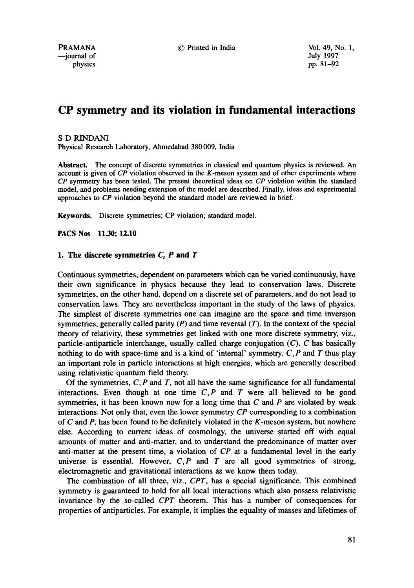# **CP symmetry and its violation in fundamental interactions**

#### S D RINDANI

Physical Research Laboratory, Ahmedabad 380 009, India

**Abstract.** The concept of discrete symmetries in classical and quantum physics is reviewed. An account is given of *CP* violation observed **in** the K-meson system and of other experiments where *CP* symmetry has been tested. The present theoretical ideas on *CP* violation within the standard model, and problems needing extension of the model are described. Finally, ideas and experimental approaches to *CP* violation beyond the standard model are reviewed in brief.

**Keywords.** Discrete symmetries; CP violation; standard model.

**PACS Nos** 11-30; 12.10

# **1. The discrete symmetries C, P and T**

Continuous symmetries, dependent on parameters which can be varied continuously, have their own significance in physics because they lead to conservation laws. Discrete symmetries, on the other hand, depend on a discrete set of parameters, and do not lead to conservation laws. They are nevertheless important in the study of the laws of physics. The simplest of discrete symmetries one can imagine are the space and time inversion symmetries, generally called parity  $(P)$  and time reversal  $(T)$ . In the context of the special theory of relativity, these symmetries get linked with one more discrete symmetry, viz., particle-antiparticle interchange, usually called charge conjugation (C). C has basically nothing to do with space-time and is a kind of 'internal' symmetry.  $C, P$  and T thus play an important role in particle interactions at high energies, which are generally described using relativistic quantum field theory.

Of the symmetries,  $C, P$  and  $T$ , not all have the same significance for all fundamental interactions. Even though at one time  $C, P$  and  $T$  were all believed to be good symmetries, it has been known now for a long time that  $C$  and  $P$  are violated by weak interactions. Not only that, even the lower symmetry *CP* corresponding to a combination of  $C$  and  $P$ , has been found to be definitely violated in the  $K$ -meson system, but nowhere else. According to current ideas of cosmology, the universe started off with equal amounts of matter and anti-matter, and to understand the predominance of matter over anti-matter at the present time, a violation of *CP* at a fundamental level in the early universe is essential. However, *C,P and T are* all good symmetries of strong, electromagnetic and gravitational interactions as we know them today.

The combination of all three, viz., *CPT,* has a special significance. This combined symmetry is guaranteed to hold for all local interactions which also possess relativistic invariance by the so-called *CPT* theorem. This has a number of consequences for properties of antiparticles. For example, it implies the equality of masses and lifetimes of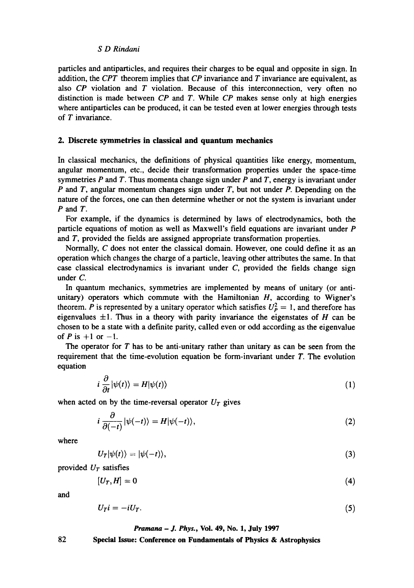particles and antiparticles, and requires their charges to be equal and opposite in sign. In addition, the *CPT* theorem implies that *CP* invariance and T invariance are equivalent, as also  $\mathbb{CP}$  violation and  $\mathbb T$  violation. Because of this interconnection, very often no distinction is made between *CP and T.* While *CP* makes sense only at high energies where antiparticles can be produced, it can be tested even at lower energies through tests of T invariance.

## **2. Discrete symmetries in classical and quantum mechanics**

In classical mechanics, the definitions of physical quantities like energy, momentum, angular momentum, etc., decide their transformation properties under the space-time symmetries P and T. Thus momenta change sign under P and T, energy is invariant under P and T, angular momentum changes sign under T, but not under P. Depending on the nature of the forces, one can then determine whether or not the system is invariant under P and T.

For example, if the dynamics is determined by laws of electrodynamics, both the particle equations of motion as well as Maxwell's field equations are invariant under P and T, provided the fields are assigned appropriate transformation properties.

Normally, C does not enter the classical domain. However, one could define it as an operation which changes the charge of a particle, leaving other attributes the same. In that case classical electrodynamics is invariant under  $C$ , provided the fields change sign under C.

In quantum mechanics, symmetries are implemented by means of unitary (or antiunitary) operators which commute with the Hamiltonian  $H$ , according to Wigner's theorem. P is represented by a unitary operator which satisfies  $U_P^2 = 1$ , and therefore has eigenvalues  $\pm 1$ . Thus in a theory with parity invariance the eigenstates of H can be chosen to be a state with a definite parity, called even or odd according as the eigenvalue of  $P$  is  $+1$  or  $-1$ .

The operator for  $T$  has to be anti-unitary rather than unitary as can be seen from the requirement that the time-evolution equation be form-invariant under  $T$ . The evolution equation

$$
i\,\frac{\partial}{\partial t}|\psi(t)\rangle = H|\psi(t)\rangle\tag{1}
$$

when acted on by the time-reversal operator  $U_T$  gives

$$
i\frac{\partial}{\partial(-t)}|\psi(-t)\rangle = H|\psi(-t)\rangle, \qquad (2)
$$

where

$$
U_T|\psi(t)\rangle=|\psi(-t)\rangle,\tag{3}
$$

provided  $U_T$  satisfies

$$
[U_T, H] = 0 \tag{4}
$$

and

$$
U_T i = -iU_T. \tag{5}
$$

#### *Pranmna - J. Phys.,* Vol. 49, No. 1, July 1997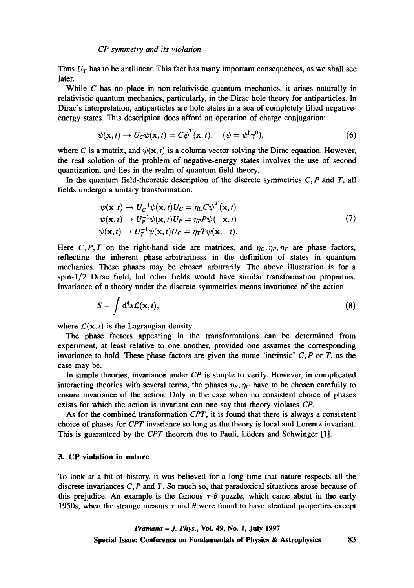Thus  $U_T$  has to be antilinear. This fact has many important consequences, as we shall see later.

While  $C$  has no place in non-relativistic quantum mechanics, it arises naturally in relativistic quantum mechanics, particularly, in the Dirac hole theory for antiparticles. In Dirac's interpretation, antiparticles are hole states in a sea of completely filled negativeenergy states. This description does afford an operation of charge conjugation:

$$
\psi(\mathbf{x},t) \to U_C \psi(\mathbf{x},t) = C \overline{\psi}^T(\mathbf{x},t), \quad (\overline{\psi} = \psi^\dagger \gamma^0), \tag{6}
$$

where C is a matrix, and  $\psi(x, t)$  is a column vector solving the Dirac equation. However, the real solution of the problem of negative-energy states involves the use of second quantization, and lies in the realm of quantum field theory.

In the quantum field-theoretic description of the discrete symmetries  $C, P$  and  $T$ , all fields undergo a unitary transformation.

$$
\psi(\mathbf{x},t) \to U_C^{-1} \psi(\mathbf{x},t) U_C = \eta_C C \overline{\psi}^T(\mathbf{x},t) \n\psi(\mathbf{x},t) \to U_P^{-1} \psi(\mathbf{x},t) U_P = \eta_P P \psi(-\mathbf{x},t) \n\psi(\mathbf{x},t) \to U_T^{-1} \psi(\mathbf{x},t) U_C = \eta_T T \psi(\mathbf{x},-t).
$$
\n(7)

Here C, P, T on the right-hand side are matrices, and  $\eta_C, \eta_P, \eta_T$  are phase factors, reflecting the inherent phase-arbitrariness in the definition of states in quantum mechanics. These phases may be chosen arbitrarily. The above illustration is for a spin-l/2 Dirac field, but other fields would have similar transformation properties. Invariance of a theory under the discrete symmetries means invariance of the action

$$
S = \int d^4x \mathcal{L}(\mathbf{x}, t), \tag{8}
$$

where  $\mathcal{L}(\mathbf{x}, t)$  is the Lagrangian density.

The phase factors appearing in the transformations can be determined from experiment, at least relative to one another, provided one assumes the corresponding invariance to hold. These phase factors are given the name 'intrinsic'  $C, P$  or  $T$ , as the case may be.

In simple theories, invariance under *CP* is simple to verify. However, in complicated interacting theories with several terms, the phases  $\eta_P, \eta_C$  have to be chosen carefully to ensure invariance of the action. Only in the case when no consistent choice of phases exists for which the action is invariant can one say that theory violates *CP.* 

As for the combined transformation *CPT,* it is found that there is always a consistent choice of phases for *CPT* invariance so long as the theory is local and Lorentz invariant. This is guaranteed by the *CPT* theorem due to Pauli, Liiders and Schwinger [1].

# **3. CP violation in nature**

To look at a bit of history, it was believed for a long time that nature respects all the discrete invariances  $C$ ,  $P$  and  $T$ . So much so, that paradoxical situations arose because of this prejudice. An example is the famous  $\tau$ - $\theta$  puzzle, which came about in the early 1950s, when the strange mesons  $\tau$  and  $\theta$  were found to have identical properties except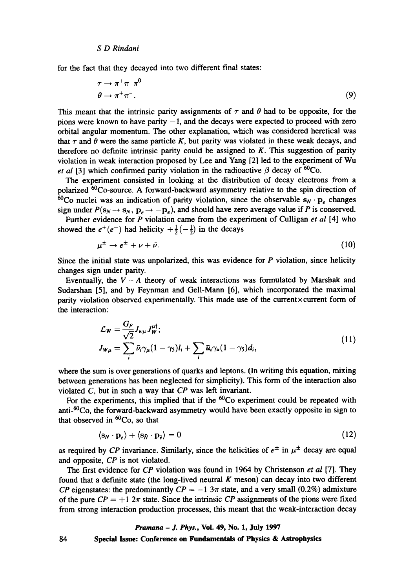for the fact that they decayed into two different final states:

$$
\tau \to \pi^+ \pi^- \pi^0
$$
  
\n
$$
\theta \to \pi^+ \pi^-.
$$
\n(9)

This meant that the intrinsic parity assignments of  $\tau$  and  $\theta$  had to be opposite, for the pions were known to have parity  $-1$ , and the decays were expected to proceed with zero orbital angular momentum. The other explanation, which was considered heretical was that  $\tau$  and  $\theta$  were the same particle K, but parity was violated in these weak decays, and therefore no definite intrinsic parity could be assigned to  $K$ . This suggestion of parity violation in weak interaction proposed by Lee and Yang [2] led to the experiment of Wu *et al* [3] which confirmed parity violation in the radioactive  $\beta$  decay of <sup>60</sup>Co.

The experiment consisted in looking at the distribution of decay electrons from a polarized <sup>60</sup>Co-source. A forward-backward asymmetry relative to the spin direction of  $60$ Co nuclei was an indication of parity violation, since the observable  $s_N \cdot p_e$  changes sign under  $P(s_N \rightarrow s_N, p_e \rightarrow -p_e)$ , and should have zero average value if P is conserved.

Further evidence for P violation came from the experiment of Culligan *et al* [4] who showed the  $e^+(e^-)$  had helicity  $+\frac{1}{2}(-\frac{1}{2})$  in the decays

$$
\mu^{\pm} \to e^{\pm} + \nu + \bar{\nu}.\tag{10}
$$

Since the initial state was unpolarized, this was evidence for  $P$  violation, since helicity changes sign under parity.

Eventually, the  $V - A$  theory of weak interactions was formulated by Marshak and Sudarshan [5], and by Feynman and Gell-Mann [6], which incorporated the maximal parity violation observed experimentally. This made use of the current×current form of the interaction:

$$
\mathcal{L}_W = \frac{G_F}{\sqrt{2}} J_{w\mu} J_W^{\mu \dagger};
$$
\n
$$
J_{W\mu} = \sum_i \bar{\nu}_i \gamma_\mu (1 - \gamma_5) l_i + \sum_i \bar{u}_i \gamma_\mu (1 - \gamma_5) d_i,
$$
\n(11)

where the sum is over generations of quarks and leptons. (In writing this equation, mixing between generations has been neglected for simplicity). This form of the interaction also violated C, but in such a way that *CP* was left invariant.

For the experiments, this implied that if the  ${}^{60}Co$  experiment could be repeated with anti-6°Co, the forward-backward asymmetry would have been exactly opposite in sign to that observed in  ${}^{60}Co$ , so that

$$
\langle \mathbf{s}_N \cdot \mathbf{p}_e \rangle + \langle \mathbf{s}_{\bar{N}} \cdot \mathbf{p}_{\bar{e}} \rangle = 0 \tag{12}
$$

as required by *CP* invariance. Similarly, since the helicities of  $e^{\pm}$  in  $\mu^{\pm}$  decay are equal and opposite, *CP* is not violated.

The first evidence for *CP* violation was found in 1964 by Christenson *et al* [7]. They found that a definite state (the long-lived neutral  $K$  meson) can decay into two different *CP* eigenstates: the predominantly  $CP = -1.3\pi$  state, and a very small (0.2%) admixture of the pure  $\mathbb{CP} = +1$   $2\pi$  state. Since the intrinsic  $\mathbb{CP}$  assignments of the pions were fixed from strong interaction production processes, this meant that the weak-interaction decay

#### *Pramana - J. Phys.,* **Vol. 49, No. 1, July 1997**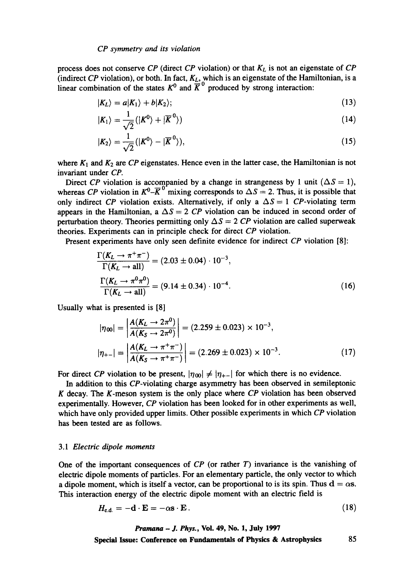process does not conserve *CP* (direct *CP* violation) or that *KL* is not an eigenstate of *CP*  (indirect *CP* violation), or both. In fact,  $K_L$ , which is an eigenstate of the Hamiltonian, is a linear combination of the states  $K^0$  and  $K^{\circ}$  produced by strong interaction:

$$
|K_L\rangle = a|K_1\rangle + b|K_2\rangle; \tag{13}
$$

$$
|K_1\rangle = \frac{1}{\sqrt{2}}(|K^0\rangle + |\overline{K}^0\rangle) \tag{14}
$$

$$
|K_2\rangle = \frac{1}{\sqrt{2}}(|K^0\rangle - |\overline{K}^0\rangle),\tag{15}
$$

where  $K_1$  and  $K_2$  are  $CP$  eigenstates. Hence even in the latter case, the Hamiltonian is not invariant under *CP.* 

Direct *CP* violation is accompanied by a change in strangeness by 1 unit ( $\Delta S = 1$ ), whereas *CP* violation in  $K^0$ - $\overline{K}^0$ <sup>-</sup>mixing corresponds to  $\Delta S = 2$ . Thus, it is possible that only indirect *CP* violation exists. Alternatively, if only a  $\Delta S = 1$  *CP*-violating term appears in the Hamiltonian, a  $\Delta S = 2$  *CP* violation can be induced in second order of perturbation theory. Theories permitting only  $\Delta S = 2$  CP violation are called superweak theories. Experiments can in principle check for direct *CP* violation.

Present experiments have only seen definite evidence for indirect *CP* violation [8]:

$$
\frac{\Gamma(K_L \to \pi^+ \pi^-)}{\Gamma(K_L \to \text{all})} = (2.03 \pm 0.04) \cdot 10^{-3},
$$
\n
$$
\frac{\Gamma(K_L \to \pi^0 \pi^0)}{\Gamma(K_L \to \text{all})} = (9.14 \pm 0.34) \cdot 10^{-4}.
$$
\n(16)

Usually what is presented is [8]

$$
|\eta_{00}| = \left| \frac{A(K_L \to 2\pi^0)}{A(K_S \to 2\pi^0)} \right| = (2.259 \pm 0.023) \times 10^{-3},
$$
  

$$
|\eta_{+-}| = \left| \frac{A(K_L \to \pi^+\pi^-)}{A(K_S \to \pi^+\pi^-)} \right| = (2.269 \pm 0.023) \times 10^{-3}.
$$
 (17)

For direct *CP* violation to be present,  $|\eta_{00}| \neq |\eta_{+-}|$  for which there is no evidence.

**In** addition to this CP-violating charge asymmetry has been observed in semileptonic K decay. The K-meson system is the only place where *CP* violation has been observed experimentally. However, *CP* violation has been looked for in other experiments as well, which have only provided upper limits. Other possible experiments in which *CP* violation has been tested are as follows.

#### *3.1 Electric dipole moments*

One of the important consequences of *CP* (or rather T) invariance is the vanishing of electric dipole moments of particles. For an elementary particle, the only vector to which a dipole moment, which is itself a vector, can be proportional to is its spin. Thus  $d = \alpha s$ . This interaction energy of the electric dipole moment with an electric field is

$$
H_{\rm e.d.} = -\mathbf{d} \cdot \mathbf{E} = -\alpha \mathbf{s} \cdot \mathbf{E} \,. \tag{18}
$$

*Pramana - J. Phys.,* Vol. 49, No. 1, July 1997 Special **Issue: Conference on Fundamentals of Physics & Astrophysics** 85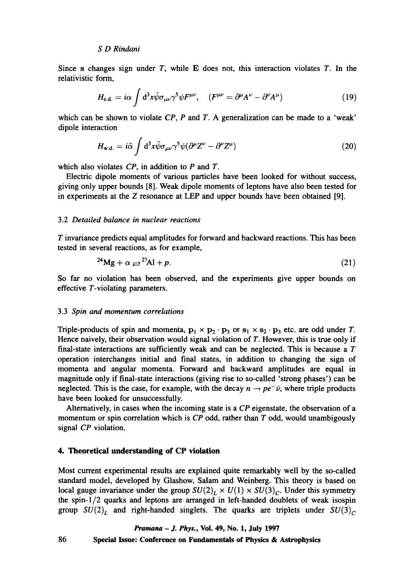Since s changes sign under T, while  $E$  does not, this interaction violates T. In the relativistic form,

$$
H_{\text{e.d.}} = i\alpha \int d^3x \bar{\psi} \sigma_{\mu\nu} \gamma^5 \psi F^{\mu\nu}, \quad (F^{\mu\nu} = \partial^{\mu} A^{\nu} - \partial^{\nu} A^{\mu}) \tag{19}
$$

which can be shown to violate *CP*, *P* and *T*. A generalization can be made to a 'weak' dipole interaction

$$
H_{\mathbf{w}.d.} = i\tilde{\alpha} \int d^3x \bar{\psi} \sigma_{\mu\nu} \gamma^5 \psi (\partial^{\mu} Z^{\nu} - \partial^{\nu} Z^{\mu}) \tag{20}
$$

which also violates *CP,* in addition to P and T.

Electric dipole moments of various particles have been looked for without success, giving only upper bounds [8]. Weak dipole moments of leptons have also been tested for in experiments at the Z resonance at LEP and upper bounds have been obtained [9].

#### 3.2 *Detailed balance in nuclear reactions*

T invariance predicts equal amplitudes for forward and backward reactions. This has been tested in several reactions, as for example,

$$
^{24}\text{Mg} + \alpha \rightleftharpoons ^{27}\text{Al} + p. \tag{21}
$$

So far no violation has been observed, and the experiments give upper bounds on effective T-violating parameters.

#### 3.3 *Spin and momentum correlations*

Triple-products of spin and momenta,  $p_1 \times p_2 \cdot p_3$  or  $s_1 \times s_2 \cdot p_3$  etc. are odd under T. Hence naively, their observation would signal violation of T. However, this is true only if final-state interactions are sufficiently weak and can be neglected. This is because a  $T$ operation interchanges initial and final states, in addition to changing the sign of momenta and angular momenta. Forward and backward amplitudes are equal in magnitude only if final-state interactions (giving rise to so-called 'strong phases') can be neglected. This is the case, for example, with the decay  $n \rightarrow pe^- \bar{\nu}$ , where triple products have been looked for unsuccessfully.

Alternatively, in cases when the incoming state is a *CP* eigenstate, the observation of a momentum or spin correlation which is *CP* odd, rather than T odd, would unambigously signal *CP* violation.

#### **4. Theoretical understanding of CP violation**

Most current experimental results are explained quite remarkably well by the so-called standard model, developed by Glashow, Salam and Weinberg. This theory is based on local gauge invariance under the group  $SU(2)_L \times U(1) \times SU(3)_C$ . Under this symmetry the spin-1/2 quarks and leptons are arranged in left-handed doublets of weak isospin group  $SU(2)_L$  and right-handed singlets. The quarks are triplets under  $SU(3)_C$ 

*Pramana - J. Phys.,* **Vol. 49, No. 1, July 1997**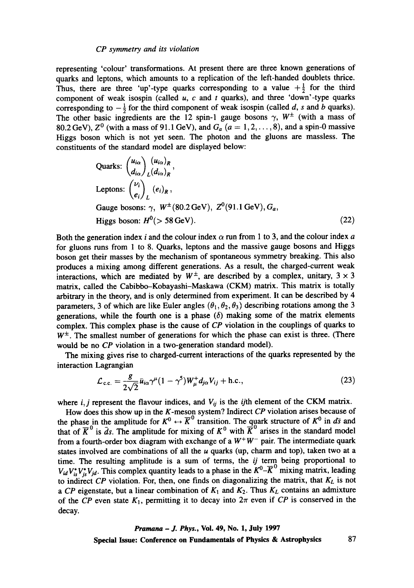representing 'colour' transformations. At present there are three known generations of quarks and leptons, which amounts to a replication of the left-handed doublets thrice. Thus, there are three 'up'-type quarks corresponding to a value  $+\frac{1}{2}$  for the third component of weak isospin (called  $u$ ,  $c$  and  $t$  quarks), and three 'down'-type quarks corresponding to  $-\frac{1}{2}$  for the third component of weak isospin (called d, s and b quarks). The other basic ingredients are the 12 spin-1 gauge bosons  $\gamma$ ,  $W^{\pm}$  (with a mass of 80.2 GeV),  $Z^0$  (with a mass of 91.1 GeV), and  $G_a$   $(a = 1, 2, \ldots, 8)$ , and a spin-0 massive Higgs boson which is not yet seen. The photon and the gluons are massless. The constituents of the standard model are displayed below:

Quarks: 
$$
\begin{pmatrix} u_{i\alpha} \\ d_{i\alpha} \end{pmatrix} \begin{pmatrix} u_{i\alpha} \\ k \end{pmatrix} R
$$
,  
\nLeptons:  $\begin{pmatrix} \nu_i \\ e_i \end{pmatrix} \begin{pmatrix} e_i \\ k \end{pmatrix} R$ ,  
\nGauge bosons:  $\gamma$ ,  $W^{\pm} (80.2 \text{ GeV})$ ,  $Z^0 (91.1 \text{ GeV})$ ,  $G_a$ ,  
\nHiggs boson:  $H^0 (> 58 \text{ GeV})$ . (22)

Both the generation index i and the colour index  $\alpha$  run from 1 to 3, and the colour index a for gluons runs from 1 to 8. Quarks, leptons and the massive gauge bosons and Higgs boson get their masses by the mechanism of spontaneous symmetry breaking. This also produces a mixing among different generations. As a result, the charged-current weak interactions, which are mediated by  $W^{\pm}$ , are described by a complex, unitary,  $3 \times 3$ matrix, called the Cabibbo-Kobayashi-Maskawa (CKM) matrix. This matrix is totally arbitrary in the theory, and is only determined from experiment. It can be described by 4 parameters, 3 of which are like Euler angles  $(\theta_1, \theta_2, \theta_3)$  describing rotations among the 3 generations, while the fourth one is a phase  $(\delta)$  making some of the matrix elements complex. This complex phase is the cause of *CP* violation in the couplings of quarks to  $W^{\pm}$ . The smallest number of generations for which the phase can exist is three. (There would be no *CP* violation in a two-generation standard model).

The mixing gives rise to charged-current interactions of the quarks represented by the interaction Lagrangian

$$
\mathcal{L}_{\text{c.c.}} = \frac{g}{2\sqrt{2}} \bar{u}_{i\alpha} \gamma^{\mu} (1 - \gamma^5) W^+_{\mu} d_{j\alpha} V_{ij} + \text{h.c.}, \qquad (23)
$$

where  $i, j$  represent the flavour indices, and  $V_{ij}$  is the *ij*th element of the CKM matrix.

How does this show up in the K-meson system? Indirect *CP* violation arises because of the phase in the amplitude for  $K^0 \leftrightarrow \overline{K}^\vee$  transition. The quark structure of  $K^0$  in  $d\overline{s}$  and that of  $\overline{K}^{\vee}$  is *ds*. The amplitude for mixing of  $K^0$  with K arises in the standard model from a fourth-order box diagram with exchange of a  $W^+W^-$  pair. The intermediate quark states involved are combinations of all the  $u$  quarks (up, charm and top), taken two at a time. The resulting amplitude is a sum of terms, the *ij* term being proportional to  $V_{id}V_{is}^*V_{jd}$ . This complex quantity leads to a phase in the  $K^0-\overline{K}^0$  mixing matrix, leading to indirect *CP* violation. For, then, one finds on diagonalizing the matrix, that  $K_L$  is not *a CP* eigenstate, but a linear combination of  $K_1$  and  $K_2$ . Thus  $K_L$  contains an admixture of the *CP* even state  $K_1$ , permitting it to decay into  $2\pi$  even if *CP* is conserved in the decay.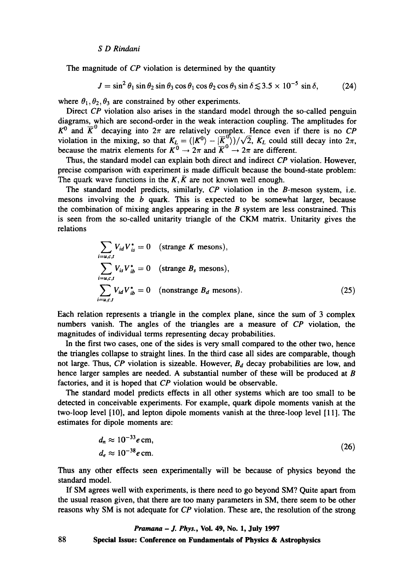The magnitude of *CP* violation is determined by the quantity

$$
J = \sin^2 \theta_1 \sin \theta_2 \sin \theta_3 \cos \theta_1 \cos \theta_2 \cos \theta_3 \sin \delta \lesssim 3.5 \times 10^{-5} \sin \delta, \tag{24}
$$

where  $\theta_1, \theta_2, \theta_3$  are constrained by other experiments.

Direct *CP* violation also arises in the standard model through the so-called penguin diagrams, which are second-order in the weak interaction coupling. The amplitudes for  $K^0$  and  $\overline{K}^0$  decaying into  $2\pi$  are relatively complex. Hence even if there is no *CP* violation in the mixing, so that  $K_L = (K^0 - K^0)/\sqrt{2}$ ,  $K_L$  could still decay into  $2\pi$ , because the matrix elements for  $K^{\circ} \to 2\pi$  and  $K^{\circ} \to 2\pi$  are different.

Thus, the standard model can explain both direct and indirect *CP* violation. However, precise comparison with experiment is made difficult because the bound-state problem: The quark wave functions in the K,  $\bar{K}$  are not known well enough.

The standard model predicts, similarly, *CP* violation in the B-meson system, i.e. mesons involving the  $b$  quark. This is expected to be somewhat larger, because the combination of mixing angles appearing in the  $B$  system are less constrained. This is seen from the so-called unitarity triangle of the CKM matrix. Unitarity gives the relations

$$
\sum_{i=u,c,t} V_{id} V_{is}^* = 0 \quad \text{(strange } K \text{ mesons}),
$$
\n
$$
\sum_{i=u,c,t} V_{is} V_{ib}^* = 0 \quad \text{(strange } B_s \text{ mesons}),
$$
\n
$$
\sum_{i=u,c,t} V_{id} V_{ib}^* = 0 \quad \text{(nonstrange } B_d \text{ mesons)}.
$$
\n(25)

Each relation represents a triangle in the complex plane, since the sum of 3 complex numbers vanish. The angles of the triangles are a measure of *CP* violation, the magnitudes of individual terms representing decay probabilities.

In the first two cases, one of the sides is very small compared to the other two, hence the triangles collapse to straight lines. In the third case all sides are comparable, though not large. Thus, *CP* violation is sizeable. However,  $B_d$  decay probabilities are low, and hence larger samples are needed. A substantial number of these will be produced at B factories, and it is hoped that *CP* violation would be observable.

The standard model predicts effects in all other systems which are too small to be detected in conceivable experiments. For example, quark dipole moments vanish at the two-loop level [10], and lepton dipole moments vanish at the three-loop level [11]. The estimates for dipole moments are:

$$
d_n \approx 10^{-33} e \text{ cm},
$$
  
\n
$$
d_e \approx 10^{-38} e \text{ cm}.
$$
\n(26)

Thus any other effects seen experimentally will be because of physics beyond the standard model.

If SM agrees well with experiments, is there need to go beyond SM? Quite apart from the usual reason given, that there are too many parameters in SM, there seem to be other reasons why SM is not adequate for *CP* violation. These are, the resolution of the strong

*Pramana - J. Phys.,* Vol. 49, No. 1, July 1997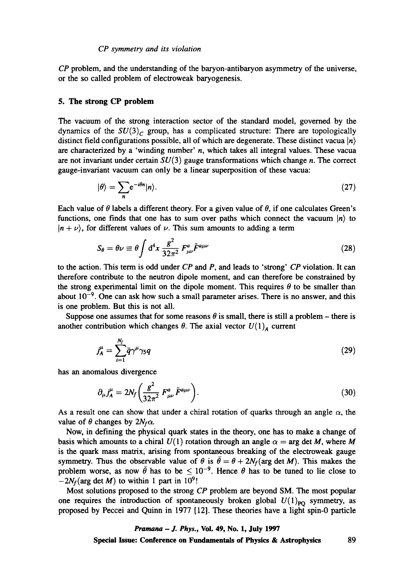*CP* problem, and the understanding of the baryon-antibaryon asymmetry of the universe, or the so called problem of electroweak baryogenesis.

#### **5. The strong CP problem**

The vacuum of the strong interaction sector of the standard model, governed by the dynamics of the  $SU(3)$ <sub>c</sub> group, has a complicated structure: There are topologically distinct field configurations possible, all of which are degenerate. These distinct vacua  $|n\rangle$ are characterized by a 'winding number'  $n$ , which takes all integral values. These vacua are not invariant under certain  $SU(3)$  gauge transformations which change n. The correct gauge-invariant vacuum can only be a linear superposition of these vacua:

$$
|\theta\rangle = \sum_{n} e^{-i\theta n} |n\rangle. \tag{27}
$$

Each value of  $\theta$  labels a different theory. For a given value of  $\theta$ , if one calculates Green's functions, one finds that one has to sum over paths which connect the vacuum  $|n\rangle$  to  $|n + \nu\rangle$ , for different values of  $\nu$ . This sum amounts to adding a term

$$
S_{\theta} = \theta \nu \equiv \theta \int d^4 x \, \frac{g^2}{32\pi^2} \, F^a_{\mu\nu} \tilde{F}^{a\mu\nu} \tag{28}
$$

to the action. This term is odd under *CP* and P, and leads to 'strong' *CP* violation. It can therefore contribute to the neutron dipole moment, and can therefore be constrained by the strong experimental limit on the dipole moment. This requires  $\theta$  to be smaller than about  $10^{-9}$ . One can ask how such a small parameter arises. There is no answer, and this is one problem. But this is not all.

Suppose one assumes that for some reasons  $\theta$  is small, there is still a problem – there is another contribution which changes  $\theta$ . The axial vector  $U(1)_{A}$  current

$$
j_A^{\mu} = \sum_{i=1}^{N_f} \bar{q} \gamma^{\mu} \gamma_5 q \tag{29}
$$

has an anomalous divergence

$$
\partial_{\mu}j_{A}^{\mu} = 2N_f \left( \frac{g^2}{32\pi^2} F_{\mu\nu}^a \tilde{F}^{a\mu\nu} \right). \tag{30}
$$

As a result one can show that under a chiral rotation of quarks through an angle  $\alpha$ , the value of  $\theta$  changes by  $2N_f\alpha$ .

Now, in defining the physical quark states in the theory, one has to make a change of basis which amounts to a chiral  $U(1)$  rotation through an angle  $\alpha = \arg \det M$ , where M is the quark mass matrix, arising from spontaneous breaking of the electroweak gauge symmetry. Thus the observable value of  $\theta$  is  $\bar{\theta} = \theta + 2N_f$  (arg det M). This makes the problem worse, as now  $\theta$  has to be  $\leq 10^{-9}$ . Hence  $\theta$  has to be tuned to lie close to  $-2N_f$ (arg det M) to within 1 part in 10<sup>9</sup>!

Most solutions proposed to the strong *CP* problem are beyond SM. The most popular one requires the introduction of spontaneously broken global  $U(1)_{PQ}$  symmetry, as proposed by Peccei and Quinn in 1977 [12]. These theories have a light spin-0 particle

# *Pramana - J. Phys.,* **Voi. 49, No. 1, July 1997**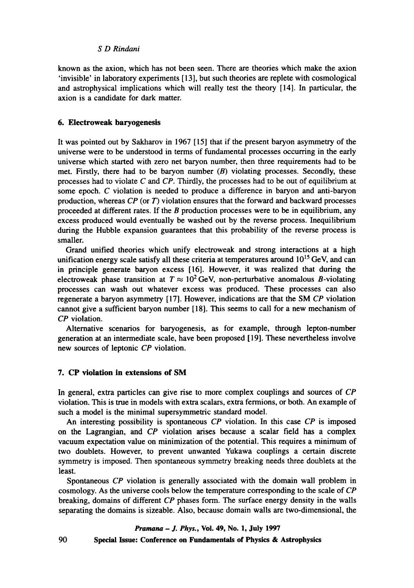known as the axion, which has not been seen. There are theories which make the axion 'invisible' in laboratory experiments [13], but such theories are replete with cosmological and astrophysical implications which will really test the theory [14]. In particular, the axion is a candidate for dark matter.

# **6. Electroweak baryogenesis**

It was pointed out by Sakharov in 1967 [15] that if the present baryon asymmetry of the universe were to be understood in terms of fundamental processes occurring in the early universe which started with zero net baryon number, then three requirements had to be met. Firstly, there had to be baryon number  $(B)$  violating processes. Secondly, these processes had to violate C and *CP.* Thirdly, the processes had to be out of equilibrium at some epoch. C violation is needed to produce a difference in baryon and anti-baryon production, whereas *CP* (or T) violation ensures that the forward and backward processes proceeded at different rates. If the  $B$  production processes were to be in equilibrium, any excess produced would eventually be washed out by the reverse process. Inequilibrium during the Hubble expansion guarantees that this probability of the reverse process is smaller.

Grand unified theories which unify electroweak and strong interactions at a high unification energy scale satisfy all these criteria at temperatures around  $10^{15}$  GeV, and can in principle generate baryon excess [16]. However, it was realized that during the electroweak phase transition at  $T \approx 10^2 \text{ GeV}$ , non-perturbative anomalous B-violating processes can wash out whatever excess was produced. These processes can also regenerate a baryon asymmetry [ 17]. However, indications are that the SM *CP* violation cannot give a sufficient baryon number [ 18]. This seems to call for a new mechanism of *CP* violation.

Alternative scenarios for baryogenesis, as for example, through lepton-number generation at an intermediate scale, have been proposed [19]. These nevertheless involve new sources of leptonic *CP* violation.

# **7. CP violation in extensions of SM**

In general, extra particles can give rise to more complex couplings and sources of *CP*  violation. This is true in models with extra scalars, extra fermions, or both. An example of such a model is the minimal supersymmetric standard model.

An interesting possibility is spontaneous *CP* violation. In this case *CP* is imposed on the Lagrangian, and *CP* violation arises because a scalar field has a complex vacuum expectation value on minimization of the potential. This requires a minimum of two doublets. However, to prevent unwanted Yukawa couplings a certain discrete symmetry is imposed. Then spontaneous symmetry breaking needs three doublets at the least.

Spontaneous *CP* violation is generally associated with the domain wall problem in cosmology. As the universe cools below the temperature corresponding to the scale of *CP*  breaking, domains of different *CP* phases form. The surface energy density in the walls separating the domains is sizeable. Also, because domain walls are two-dimensional, the

*Pramana - J. Phys.,* **Vol. 49, No. 1, July 1997** 

**Special Issue: Conference on Fundamentals of Physics & Astrophysics** 

90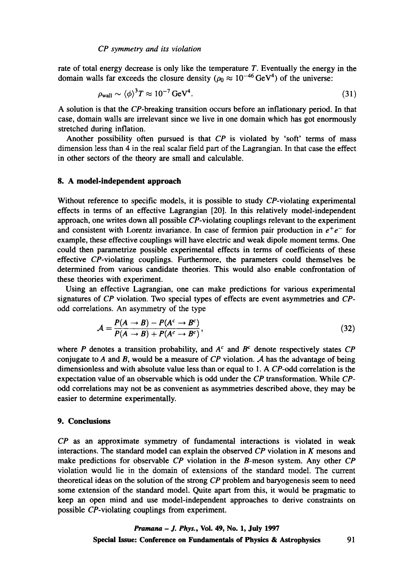rate of total energy decrease is only like the temperature  $T$ . Eventually the energy in the domain walls far exceeds the closure density ( $\rho_0 \approx 10^{-46} \text{ GeV}^4$ ) of the universe:

$$
\rho_{\text{wall}} \sim \langle \phi \rangle^3 T \approx 10^{-7} \,\text{GeV}^4. \tag{31}
$$

A solution is that the CP-breaking transition occurs before an inflationary period. In that case, domain walls are irrelevant since we live in one domain which has got enormously stretched during inflation.

Another possibility often pursued is that *CP* is violated by 'soft' terms of mass dimension less than 4 in the real scalar field part of the Lagrangian. In that case the effect in other sectors of the theory are small and calculable.

# **8. A model-independent approach**

Without reference to specific models, it is possible to study CP-violating experimental effects in terms of an effective Lagrangian [20]. In this relatively model-independent approach, one writes down all possible CP-violating couplings relevant to the experiment and consistent with Lorentz invariance. In case of fermion pair production in  $e^+e^-$  for example, these effective couplings will have electric and weak dipole moment terms. One could then parametrize possible experimental effects in terms of coefficients of these effective CP-violating couplings. Furthermore, the parameters could themselves be determined from various candidate theories. This would also enable confrontation of these theories with experiment.

Using an effective Lagrangian, one can make predictions for various experimental signatures of *CP* violation. Two special types of effects are event asymmetries and *CP*odd correlations. An asymmetry of the type

$$
\mathcal{A} = \frac{P(A \to B) - P(A^c \to B^c)}{P(A \to B) + P(A^c \to B^c)},
$$
\n(32)

where P denotes a transition probability, and  $A<sup>c</sup>$  and  $B<sup>c</sup>$  denote respectively states  $CP$ conjugate to A and B, would be a measure of  $\overline{CP}$  violation. A has the advantage of being dimensionless and with absolute value less than or equal to 1. A CP-odd correlation is the expectation value of an observable which is odd under the *CP* transformation. While *CP*odd correlations may not be as convenient as asymmetries described above, they may be easier to determine experimentally.

# **9. Conclusions**

*CP as an* approximate symmetry of fundamental interactions is violated in weak interactions. The standard model can explain the observed *CP* violation in K mesons and make predictions for observable *CP* violation in the B-meson system. Any other *CP*  violation would lie in the domain of extensions of the standard model. The current theoretical ideas on the solution of the strong *CP* problem and baryogenesis seem to need some extension of the standard model. Quite apart from this, it would be pragmatic to keep an open mind and use model-independent approaches to derive constraints on possible CP-violating couplings from experiment.

> *Pramana - J. Phys.,* **Vol. 49, No. 1, July 1997 Special Issue: Conference on Fundamentals of Physics & Astrophysics** 91